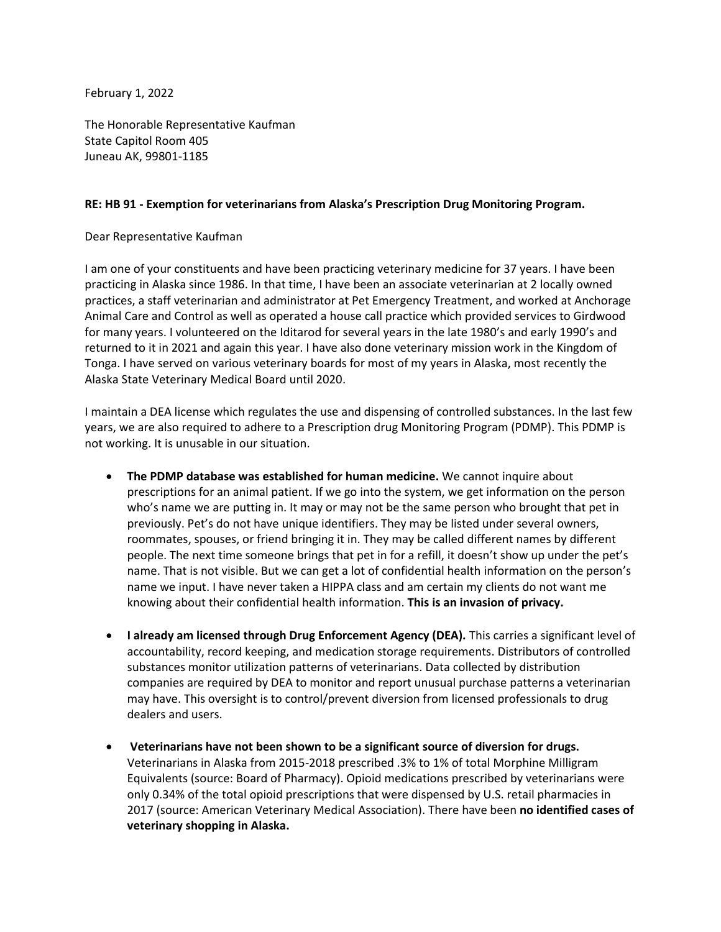February 1, 2022

The Honorable Representative Kaufman State Capitol Room 405 Juneau AK, 99801-1185

## **RE: HB 91 - Exemption for veterinarians from Alaska's Prescription Drug Monitoring Program.**

Dear Representative Kaufman

I am one of your constituents and have been practicing veterinary medicine for 37 years. I have been practicing in Alaska since 1986. In that time, I have been an associate veterinarian at 2 locally owned practices, a staff veterinarian and administrator at Pet Emergency Treatment, and worked at Anchorage Animal Care and Control as well as operated a house call practice which provided services to Girdwood for many years. I volunteered on the Iditarod for several years in the late 1980's and early 1990's and returned to it in 2021 and again this year. I have also done veterinary mission work in the Kingdom of Tonga. I have served on various veterinary boards for most of my years in Alaska, most recently the Alaska State Veterinary Medical Board until 2020.

I maintain a DEA license which regulates the use and dispensing of controlled substances. In the last few years, we are also required to adhere to a Prescription drug Monitoring Program (PDMP). This PDMP is not working. It is unusable in our situation.

- **The PDMP database was established for human medicine.** We cannot inquire about prescriptions for an animal patient. If we go into the system, we get information on the person who's name we are putting in. It may or may not be the same person who brought that pet in previously. Pet's do not have unique identifiers. They may be listed under several owners, roommates, spouses, or friend bringing it in. They may be called different names by different people. The next time someone brings that pet in for a refill, it doesn't show up under the pet's name. That is not visible. But we can get a lot of confidential health information on the person's name we input. I have never taken a HIPPA class and am certain my clients do not want me knowing about their confidential health information. **This is an invasion of privacy.**
- **I already am licensed through Drug Enforcement Agency (DEA).** This carries a significant level of accountability, record keeping, and medication storage requirements. Distributors of controlled substances monitor utilization patterns of veterinarians. Data collected by distribution companies are required by DEA to monitor and report unusual purchase patterns a veterinarian may have. This oversight is to control/prevent diversion from licensed professionals to drug dealers and users.
- **Veterinarians have not been shown to be a significant source of diversion for drugs.** Veterinarians in Alaska from 2015-2018 prescribed .3% to 1% of total Morphine Milligram Equivalents (source: Board of Pharmacy). Opioid medications prescribed by veterinarians were only 0.34% of the total opioid prescriptions that were dispensed by U.S. retail pharmacies in 2017 (source: American Veterinary Medical Association). There have been **no identified cases of veterinary shopping in Alaska.**